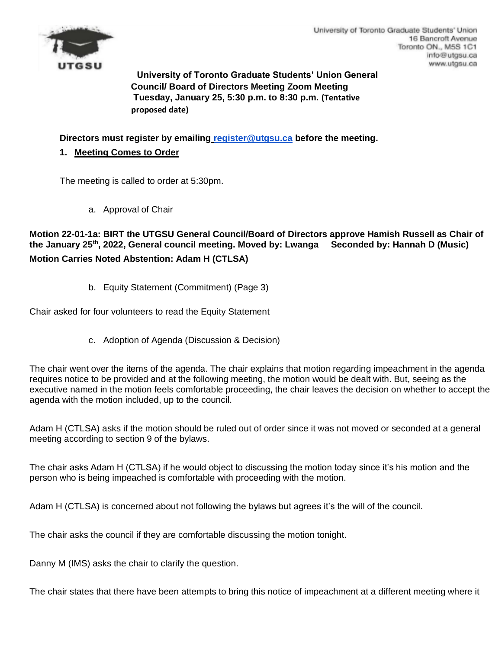

University of Toronto Graduate Students' Union 16 Bancroft Avenue Toronto ON., M5S 1C1 info@utgsu.ca www.utgsu.ca

**University of Toronto Graduate Students' Union General Council/ Board of Directors Meeting Zoom Meeting Tuesday, January 25, 5:30 p.m. to 8:30 p.m. (Tentative proposed date)** 

**Directors must register by emailing register@utgsu.ca before the meeting.** 

**1. Meeting Comes to Order**

The meeting is called to order at 5:30pm.

a. Approval of Chair

**Motion 22-01-1a: BIRT the UTGSU General Council/Board of Directors approve Hamish Russell as Chair of the January 25th, 2022, General council meeting. Moved by: Lwanga Seconded by: Hannah D (Music) Motion Carries Noted Abstention: Adam H (CTLSA)**

b. Equity Statement (Commitment) (Page 3)

Chair asked for four volunteers to read the Equity Statement

c. Adoption of Agenda (Discussion & Decision)

The chair went over the items of the agenda. The chair explains that motion regarding impeachment in the agenda requires notice to be provided and at the following meeting, the motion would be dealt with. But, seeing as the executive named in the motion feels comfortable proceeding, the chair leaves the decision on whether to accept the agenda with the motion included, up to the council.

Adam H (CTLSA) asks if the motion should be ruled out of order since it was not moved or seconded at a general meeting according to section 9 of the bylaws.

The chair asks Adam H (CTLSA) if he would object to discussing the motion today since it's his motion and the person who is being impeached is comfortable with proceeding with the motion.

Adam H (CTLSA) is concerned about not following the bylaws but agrees it's the will of the council.

The chair asks the council if they are comfortable discussing the motion tonight.

Danny M (IMS) asks the chair to clarify the question.

The chair states that there have been attempts to bring this notice of impeachment at a different meeting where it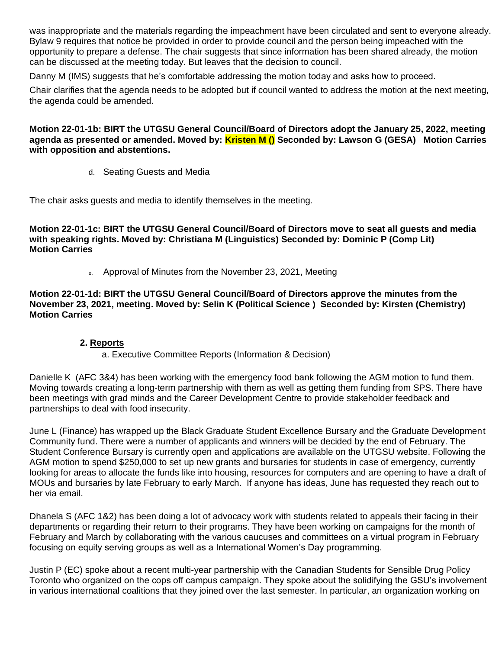was inappropriate and the materials regarding the impeachment have been circulated and sent to everyone already. Bylaw 9 requires that notice be provided in order to provide council and the person being impeached with the opportunity to prepare a defense. The chair suggests that since information has been shared already, the motion can be discussed at the meeting today. But leaves that the decision to council.

Danny M (IMS) suggests that he's comfortable addressing the motion today and asks how to proceed.

Chair clarifies that the agenda needs to be adopted but if council wanted to address the motion at the next meeting, the agenda could be amended.

### **Motion 22-01-1b: BIRT the UTGSU General Council/Board of Directors adopt the January 25, 2022, meeting agenda as presented or amended. Moved by: Kristen M () Seconded by: Lawson G (GESA) Motion Carries with opposition and abstentions.**

d. Seating Guests and Media

The chair asks guests and media to identify themselves in the meeting.

**Motion 22-01-1c: BIRT the UTGSU General Council/Board of Directors move to seat all guests and media with speaking rights. Moved by: Christiana M (Linguistics) Seconded by: Dominic P (Comp Lit) Motion Carries**

e. Approval of Minutes from the November 23, 2021, Meeting

**Motion 22-01-1d: BIRT the UTGSU General Council/Board of Directors approve the minutes from the November 23, 2021, meeting. Moved by: Selin K (Political Science ) Seconded by: Kirsten (Chemistry) Motion Carries**

### **2. Reports**

### a. Executive Committee Reports (Information & Decision)

Danielle K (AFC 3&4) has been working with the emergency food bank following the AGM motion to fund them. Moving towards creating a long-term partnership with them as well as getting them funding from SPS. There have been meetings with grad minds and the Career Development Centre to provide stakeholder feedback and partnerships to deal with food insecurity.

June L (Finance) has wrapped up the Black Graduate Student Excellence Bursary and the Graduate Development Community fund. There were a number of applicants and winners will be decided by the end of February. The Student Conference Bursary is currently open and applications are available on the UTGSU website. Following the AGM motion to spend \$250,000 to set up new grants and bursaries for students in case of emergency, currently looking for areas to allocate the funds like into housing, resources for computers and are opening to have a draft of MOUs and bursaries by late February to early March. If anyone has ideas, June has requested they reach out to her via email.

Dhanela S (AFC 1&2) has been doing a lot of advocacy work with students related to appeals their facing in their departments or regarding their return to their programs. They have been working on campaigns for the month of February and March by collaborating with the various caucuses and committees on a virtual program in February focusing on equity serving groups as well as a International Women's Day programming.

Justin P (EC) spoke about a recent multi-year partnership with the Canadian Students for Sensible Drug Policy Toronto who organized on the cops off campus campaign. They spoke about the solidifying the GSU's involvement in various international coalitions that they joined over the last semester. In particular, an organization working on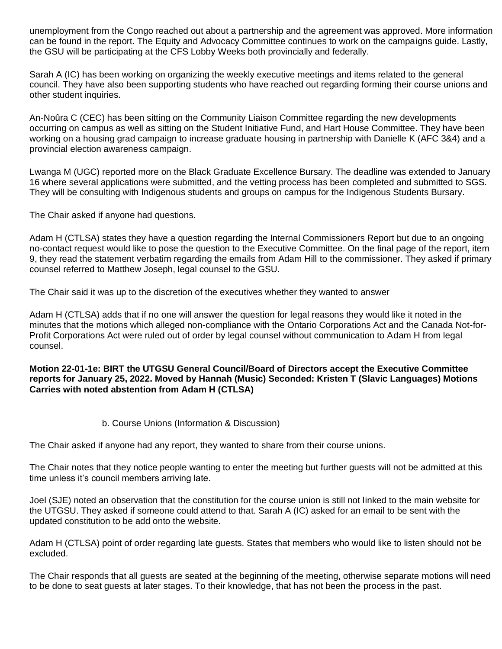unemployment from the Congo reached out about a partnership and the agreement was approved. More information can be found in the report. The Equity and Advocacy Committee continues to work on the campaigns guide. Lastly, the GSU will be participating at the CFS Lobby Weeks both provincially and federally.

Sarah A (IC) has been working on organizing the weekly executive meetings and items related to the general council. They have also been supporting students who have reached out regarding forming their course unions and other student inquiries.

An-Noûra C (CEC) has been sitting on the Community Liaison Committee regarding the new developments occurring on campus as well as sitting on the Student Initiative Fund, and Hart House Committee. They have been working on a housing grad campaign to increase graduate housing in partnership with Danielle K (AFC 3&4) and a provincial election awareness campaign.

Lwanga M (UGC) reported more on the Black Graduate Excellence Bursary. The deadline was extended to January 16 where several applications were submitted, and the vetting process has been completed and submitted to SGS. They will be consulting with Indigenous students and groups on campus for the Indigenous Students Bursary.

The Chair asked if anyone had questions.

Adam H (CTLSA) states they have a question regarding the Internal Commissioners Report but due to an ongoing no-contact request would like to pose the question to the Executive Committee. On the final page of the report, item 9, they read the statement verbatim regarding the emails from Adam Hill to the commissioner. They asked if primary counsel referred to Matthew Joseph, legal counsel to the GSU.

The Chair said it was up to the discretion of the executives whether they wanted to answer

Adam H (CTLSA) adds that if no one will answer the question for legal reasons they would like it noted in the minutes that the motions which alleged non-compliance with the Ontario Corporations Act and the Canada Not-for-Profit Corporations Act were ruled out of order by legal counsel without communication to Adam H from legal counsel.

### **Motion 22-01-1e: BIRT the UTGSU General Council/Board of Directors accept the Executive Committee reports for January 25, 2022. Moved by Hannah (Music) Seconded: Kristen T (Slavic Languages) Motions Carries with noted abstention from Adam H (CTLSA)**

### b. Course Unions (Information & Discussion)

The Chair asked if anyone had any report, they wanted to share from their course unions.

The Chair notes that they notice people wanting to enter the meeting but further guests will not be admitted at this time unless it's council members arriving late.

Joel (SJE) noted an observation that the constitution for the course union is still not linked to the main website for the UTGSU. They asked if someone could attend to that. Sarah A (IC) asked for an email to be sent with the updated constitution to be add onto the website.

Adam H (CTLSA) point of order regarding late guests. States that members who would like to listen should not be excluded.

The Chair responds that all guests are seated at the beginning of the meeting, otherwise separate motions will need to be done to seat guests at later stages. To their knowledge, that has not been the process in the past.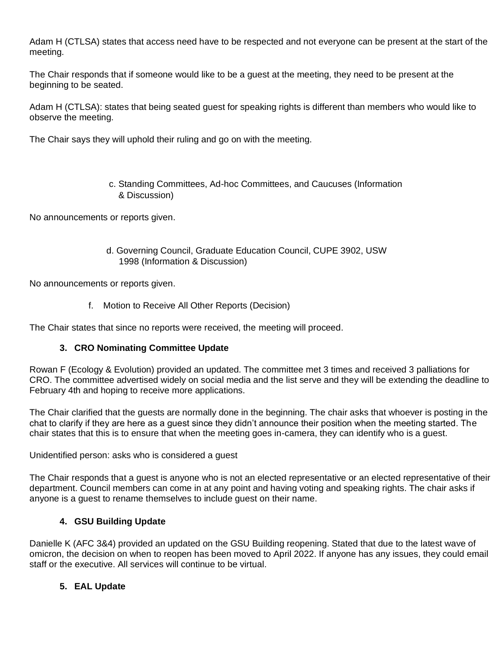Adam H (CTLSA) states that access need have to be respected and not everyone can be present at the start of the meeting.

The Chair responds that if someone would like to be a guest at the meeting, they need to be present at the beginning to be seated.

Adam H (CTLSA): states that being seated guest for speaking rights is different than members who would like to observe the meeting.

The Chair says they will uphold their ruling and go on with the meeting.

c. Standing Committees, Ad-hoc Committees, and Caucuses (Information & Discussion)

No announcements or reports given.

d. Governing Council, Graduate Education Council, CUPE 3902, USW 1998 (Information & Discussion)

No announcements or reports given.

f. Motion to Receive All Other Reports (Decision)

The Chair states that since no reports were received, the meeting will proceed.

### **3. CRO Nominating Committee Update**

Rowan F (Ecology & Evolution) provided an updated. The committee met 3 times and received 3 palliations for CRO. The committee advertised widely on social media and the list serve and they will be extending the deadline to February 4th and hoping to receive more applications.

The Chair clarified that the guests are normally done in the beginning. The chair asks that whoever is posting in the chat to clarify if they are here as a guest since they didn't announce their position when the meeting started. The chair states that this is to ensure that when the meeting goes in-camera, they can identify who is a guest.

Unidentified person: asks who is considered a guest

The Chair responds that a guest is anyone who is not an elected representative or an elected representative of their department. Council members can come in at any point and having voting and speaking rights. The chair asks if anyone is a guest to rename themselves to include guest on their name.

### **4. GSU Building Update**

Danielle K (AFC 3&4) provided an updated on the GSU Building reopening. Stated that due to the latest wave of omicron, the decision on when to reopen has been moved to April 2022. If anyone has any issues, they could email staff or the executive. All services will continue to be virtual.

# **5. EAL Update**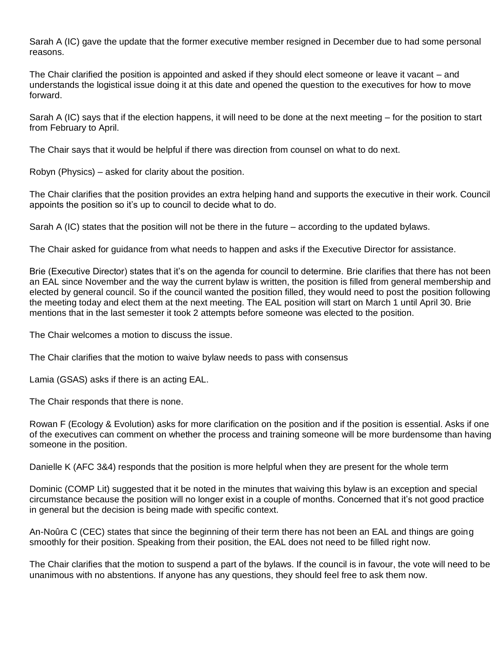Sarah A (IC) gave the update that the former executive member resigned in December due to had some personal reasons.

The Chair clarified the position is appointed and asked if they should elect someone or leave it vacant – and understands the logistical issue doing it at this date and opened the question to the executives for how to move forward.

Sarah A (IC) says that if the election happens, it will need to be done at the next meeting – for the position to start from February to April.

The Chair says that it would be helpful if there was direction from counsel on what to do next.

Robyn (Physics) – asked for clarity about the position.

The Chair clarifies that the position provides an extra helping hand and supports the executive in their work. Council appoints the position so it's up to council to decide what to do.

Sarah A (IC) states that the position will not be there in the future – according to the updated bylaws.

The Chair asked for guidance from what needs to happen and asks if the Executive Director for assistance.

Brie (Executive Director) states that it's on the agenda for council to determine. Brie clarifies that there has not been an EAL since November and the way the current bylaw is written, the position is filled from general membership and elected by general council. So if the council wanted the position filled, they would need to post the position following the meeting today and elect them at the next meeting. The EAL position will start on March 1 until April 30. Brie mentions that in the last semester it took 2 attempts before someone was elected to the position.

The Chair welcomes a motion to discuss the issue.

The Chair clarifies that the motion to waive bylaw needs to pass with consensus

Lamia (GSAS) asks if there is an acting EAL.

The Chair responds that there is none.

Rowan F (Ecology & Evolution) asks for more clarification on the position and if the position is essential. Asks if one of the executives can comment on whether the process and training someone will be more burdensome than having someone in the position.

Danielle K (AFC 3&4) responds that the position is more helpful when they are present for the whole term

Dominic (COMP Lit) suggested that it be noted in the minutes that waiving this bylaw is an exception and special circumstance because the position will no longer exist in a couple of months. Concerned that it's not good practice in general but the decision is being made with specific context.

An-Noûra C (CEC) states that since the beginning of their term there has not been an EAL and things are going smoothly for their position. Speaking from their position, the EAL does not need to be filled right now.

The Chair clarifies that the motion to suspend a part of the bylaws. If the council is in favour, the vote will need to be unanimous with no abstentions. If anyone has any questions, they should feel free to ask them now.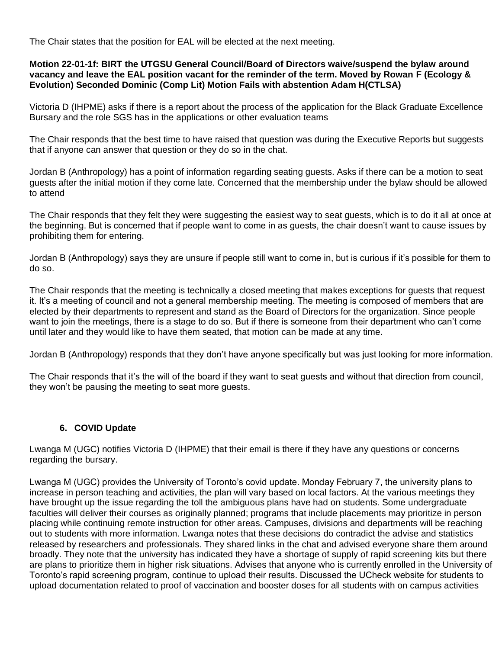The Chair states that the position for EAL will be elected at the next meeting.

#### **Motion 22-01-1f: BIRT the UTGSU General Council/Board of Directors waive/suspend the bylaw around vacancy and leave the EAL position vacant for the reminder of the term. Moved by Rowan F (Ecology & Evolution) Seconded Dominic (Comp Lit) Motion Fails with abstention Adam H(CTLSA)**

Victoria D (IHPME) asks if there is a report about the process of the application for the Black Graduate Excellence Bursary and the role SGS has in the applications or other evaluation teams

The Chair responds that the best time to have raised that question was during the Executive Reports but suggests that if anyone can answer that question or they do so in the chat.

Jordan B (Anthropology) has a point of information regarding seating guests. Asks if there can be a motion to seat guests after the initial motion if they come late. Concerned that the membership under the bylaw should be allowed to attend

The Chair responds that they felt they were suggesting the easiest way to seat guests, which is to do it all at once at the beginning. But is concerned that if people want to come in as guests, the chair doesn't want to cause issues by prohibiting them for entering.

Jordan B (Anthropology) says they are unsure if people still want to come in, but is curious if it's possible for them to do so.

The Chair responds that the meeting is technically a closed meeting that makes exceptions for guests that request it. It's a meeting of council and not a general membership meeting. The meeting is composed of members that are elected by their departments to represent and stand as the Board of Directors for the organization. Since people want to join the meetings, there is a stage to do so. But if there is someone from their department who can't come until later and they would like to have them seated, that motion can be made at any time.

Jordan B (Anthropology) responds that they don't have anyone specifically but was just looking for more information.

The Chair responds that it's the will of the board if they want to seat guests and without that direction from council, they won't be pausing the meeting to seat more guests.

### **6. COVID Update**

Lwanga M (UGC) notifies Victoria D (IHPME) that their email is there if they have any questions or concerns regarding the bursary.

Lwanga M (UGC) provides the University of Toronto's covid update. Monday February 7, the university plans to increase in person teaching and activities, the plan will vary based on local factors. At the various meetings they have brought up the issue regarding the toll the ambiguous plans have had on students. Some undergraduate faculties will deliver their courses as originally planned; programs that include placements may prioritize in person placing while continuing remote instruction for other areas. Campuses, divisions and departments will be reaching out to students with more information. Lwanga notes that these decisions do contradict the advise and statistics released by researchers and professionals. They shared links in the chat and advised everyone share them around broadly. They note that the university has indicated they have a shortage of supply of rapid screening kits but there are plans to prioritize them in higher risk situations. Advises that anyone who is currently enrolled in the University of Toronto's rapid screening program, continue to upload their results. Discussed the UCheck website for students to upload documentation related to proof of vaccination and booster doses for all students with on campus activities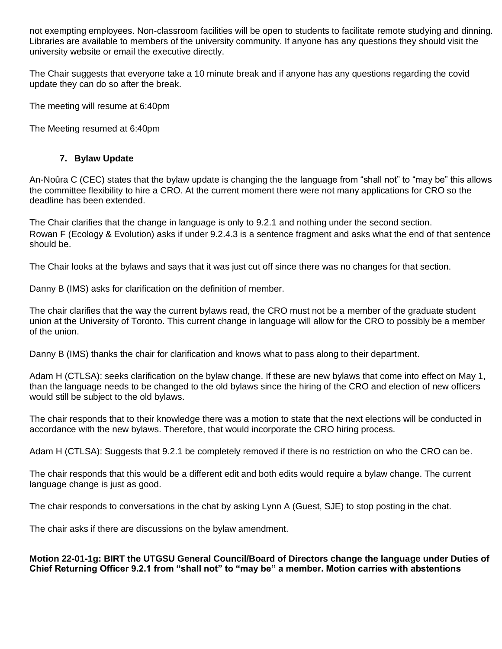not exempting employees. Non-classroom facilities will be open to students to facilitate remote studying and dinning. Libraries are available to members of the university community. If anyone has any questions they should visit the university website or email the executive directly.

The Chair suggests that everyone take a 10 minute break and if anyone has any questions regarding the covid update they can do so after the break.

The meeting will resume at 6:40pm

The Meeting resumed at 6:40pm

# **7. Bylaw Update**

An-Noûra C (CEC) states that the bylaw update is changing the the language from "shall not" to "may be" this allows the committee flexibility to hire a CRO. At the current moment there were not many applications for CRO so the deadline has been extended.

The Chair clarifies that the change in language is only to 9.2.1 and nothing under the second section. Rowan F (Ecology & Evolution) asks if under 9.2.4.3 is a sentence fragment and asks what the end of that sentence should be.

The Chair looks at the bylaws and says that it was just cut off since there was no changes for that section.

Danny B (IMS) asks for clarification on the definition of member.

The chair clarifies that the way the current bylaws read, the CRO must not be a member of the graduate student union at the University of Toronto. This current change in language will allow for the CRO to possibly be a member of the union.

Danny B (IMS) thanks the chair for clarification and knows what to pass along to their department.

Adam H (CTLSA): seeks clarification on the bylaw change. If these are new bylaws that come into effect on May 1, than the language needs to be changed to the old bylaws since the hiring of the CRO and election of new officers would still be subject to the old bylaws.

The chair responds that to their knowledge there was a motion to state that the next elections will be conducted in accordance with the new bylaws. Therefore, that would incorporate the CRO hiring process.

Adam H (CTLSA): Suggests that 9.2.1 be completely removed if there is no restriction on who the CRO can be.

The chair responds that this would be a different edit and both edits would require a bylaw change. The current language change is just as good.

The chair responds to conversations in the chat by asking Lynn A (Guest, SJE) to stop posting in the chat.

The chair asks if there are discussions on the bylaw amendment.

### **Motion 22-01-1g: BIRT the UTGSU General Council/Board of Directors change the language under Duties of Chief Returning Officer 9.2.1 from "shall not" to "may be" a member. Motion carries with abstentions**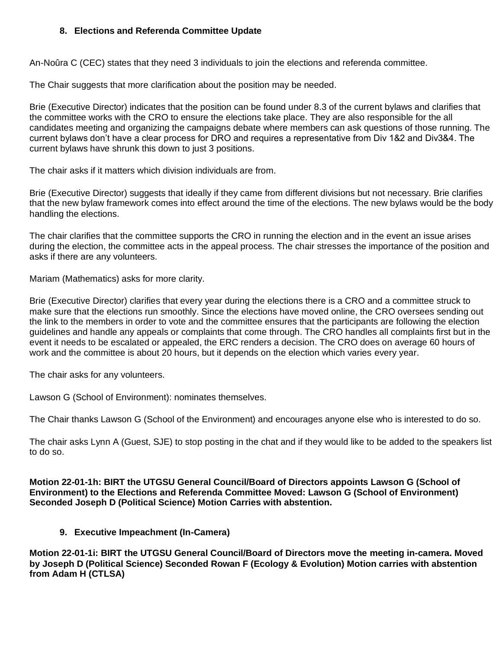### **8. Elections and Referenda Committee Update**

An-Noûra C (CEC) states that they need 3 individuals to join the elections and referenda committee.

The Chair suggests that more clarification about the position may be needed.

Brie (Executive Director) indicates that the position can be found under 8.3 of the current bylaws and clarifies that the committee works with the CRO to ensure the elections take place. They are also responsible for the all candidates meeting and organizing the campaigns debate where members can ask questions of those running. The current bylaws don't have a clear process for DRO and requires a representative from Div 1&2 and Div3&4. The current bylaws have shrunk this down to just 3 positions.

The chair asks if it matters which division individuals are from.

Brie (Executive Director) suggests that ideally if they came from different divisions but not necessary. Brie clarifies that the new bylaw framework comes into effect around the time of the elections. The new bylaws would be the body handling the elections.

The chair clarifies that the committee supports the CRO in running the election and in the event an issue arises during the election, the committee acts in the appeal process. The chair stresses the importance of the position and asks if there are any volunteers.

Mariam (Mathematics) asks for more clarity.

Brie (Executive Director) clarifies that every year during the elections there is a CRO and a committee struck to make sure that the elections run smoothly. Since the elections have moved online, the CRO oversees sending out the link to the members in order to vote and the committee ensures that the participants are following the election guidelines and handle any appeals or complaints that come through. The CRO handles all complaints first but in the event it needs to be escalated or appealed, the ERC renders a decision. The CRO does on average 60 hours of work and the committee is about 20 hours, but it depends on the election which varies every year.

The chair asks for any volunteers.

Lawson G (School of Environment): nominates themselves.

The Chair thanks Lawson G (School of the Environment) and encourages anyone else who is interested to do so.

The chair asks Lynn A (Guest, SJE) to stop posting in the chat and if they would like to be added to the speakers list to do so.

**Motion 22-01-1h: BIRT the UTGSU General Council/Board of Directors appoints Lawson G (School of Environment) to the Elections and Referenda Committee Moved: Lawson G (School of Environment) Seconded Joseph D (Political Science) Motion Carries with abstention.** 

### **9. Executive Impeachment (In-Camera)**

**Motion 22-01-1i: BIRT the UTGSU General Council/Board of Directors move the meeting in-camera. Moved by Joseph D (Political Science) Seconded Rowan F (Ecology & Evolution) Motion carries with abstention from Adam H (CTLSA)**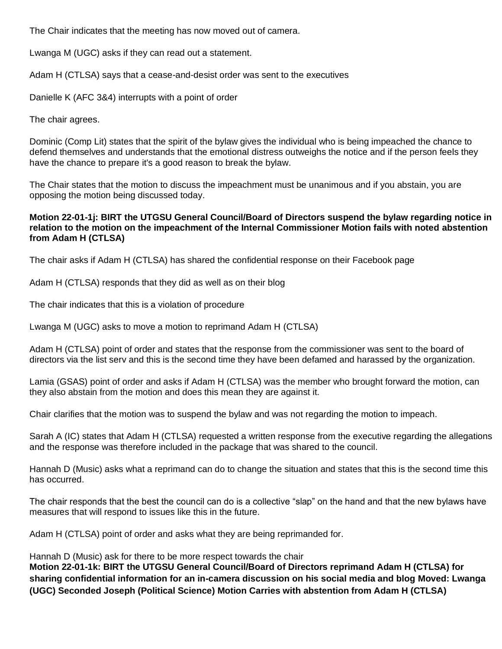The Chair indicates that the meeting has now moved out of camera.

Lwanga M (UGC) asks if they can read out a statement.

Adam H (CTLSA) says that a cease-and-desist order was sent to the executives

Danielle K (AFC 3&4) interrupts with a point of order

The chair agrees.

Dominic (Comp Lit) states that the spirit of the bylaw gives the individual who is being impeached the chance to defend themselves and understands that the emotional distress outweighs the notice and if the person feels they have the chance to prepare it's a good reason to break the bylaw.

The Chair states that the motion to discuss the impeachment must be unanimous and if you abstain, you are opposing the motion being discussed today.

### **Motion 22-01-1j: BIRT the UTGSU General Council/Board of Directors suspend the bylaw regarding notice in relation to the motion on the impeachment of the Internal Commissioner Motion fails with noted abstention from Adam H (CTLSA)**

The chair asks if Adam H (CTLSA) has shared the confidential response on their Facebook page

Adam H (CTLSA) responds that they did as well as on their blog

The chair indicates that this is a violation of procedure

Lwanga M (UGC) asks to move a motion to reprimand Adam H (CTLSA)

Adam H (CTLSA) point of order and states that the response from the commissioner was sent to the board of directors via the list serv and this is the second time they have been defamed and harassed by the organization.

Lamia (GSAS) point of order and asks if Adam H (CTLSA) was the member who brought forward the motion, can they also abstain from the motion and does this mean they are against it.

Chair clarifies that the motion was to suspend the bylaw and was not regarding the motion to impeach.

Sarah A (IC) states that Adam H (CTLSA) requested a written response from the executive regarding the allegations and the response was therefore included in the package that was shared to the council.

Hannah D (Music) asks what a reprimand can do to change the situation and states that this is the second time this has occurred.

The chair responds that the best the council can do is a collective "slap" on the hand and that the new bylaws have measures that will respond to issues like this in the future.

Adam H (CTLSA) point of order and asks what they are being reprimanded for.

Hannah D (Music) ask for there to be more respect towards the chair

**Motion 22-01-1k: BIRT the UTGSU General Council/Board of Directors reprimand Adam H (CTLSA) for sharing confidential information for an in-camera discussion on his social media and blog Moved: Lwanga (UGC) Seconded Joseph (Political Science) Motion Carries with abstention from Adam H (CTLSA)**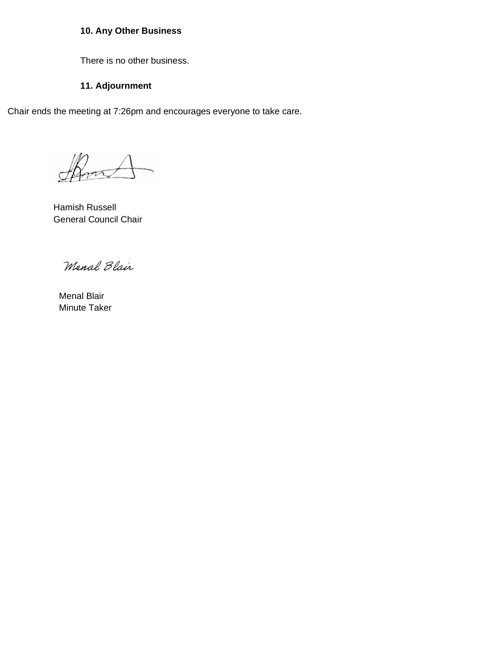# **10. Any Other Business**

There is no other business.

## **11. Adjournment**

Chair ends the meeting at 7:26pm and encourages everyone to take care.

Show

Hamish Russell General Council Chair

Menal Blair

Menal Blair Minute Taker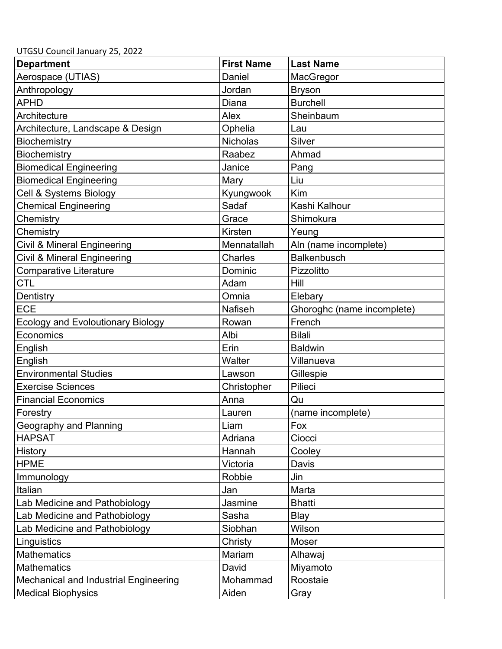UTGSU Council January 25, 2022

| <b>Department</b>                        | <b>First Name</b> | <b>Last Name</b>           |
|------------------------------------------|-------------------|----------------------------|
| Aerospace (UTIAS)                        | Daniel            | MacGregor                  |
| Anthropology                             | Jordan            | <b>Bryson</b>              |
| <b>APHD</b>                              | Diana             | <b>Burchell</b>            |
| Architecture                             | Alex              | Sheinbaum                  |
| Architecture, Landscape & Design         | Ophelia           | Lau                        |
| Biochemistry                             | <b>Nicholas</b>   | Silver                     |
| Biochemistry                             | Raabez            | Ahmad                      |
| <b>Biomedical Engineering</b>            | Janice            | Pang                       |
| <b>Biomedical Engineering</b>            | Mary              | Liu                        |
| Cell & Systems Biology                   | Kyungwook         | Kim                        |
| <b>Chemical Engineering</b>              | Sadaf             | Kashi Kalhour              |
| Chemistry                                | Grace             | Shimokura                  |
| Chemistry                                | Kirsten           | Yeung                      |
| Civil & Mineral Engineering              | Mennatallah       | Aln (name incomplete)      |
| Civil & Mineral Engineering              | Charles           | <b>Balkenbusch</b>         |
| Comparative Literature                   | Dominic           | Pizzolitto                 |
| <b>CTL</b>                               | Adam              | Hill                       |
| Dentistry                                | Omnia             | Elebary                    |
| <b>ECE</b>                               | <b>Nafiseh</b>    | Ghoroghc (name incomplete) |
| <b>Ecology and Evoloutionary Biology</b> | Rowan             | French                     |
| Economics                                | Albi              | <b>Bilali</b>              |
| English                                  | Erin              | <b>Baldwin</b>             |
| English                                  | Walter            | Villanueva                 |
| <b>Environmental Studies</b>             | Lawson            | Gillespie                  |
| <b>Exercise Sciences</b>                 | Christopher       | Pilieci                    |
| <b>Financial Economics</b>               | Anna              | Qu                         |
| Forestry                                 | Lauren            | (name incomplete)          |
| Geography and Planning                   | Liam              | Fox                        |
| <b>HAPSAT</b>                            | Adriana           | Ciocci                     |
| History                                  | Hannah            | Cooley                     |
| <b>HPME</b>                              | Victoria          | Davis                      |
| Immunology                               | Robbie            | Jin                        |
| Italian                                  | Jan               | Marta                      |
| Lab Medicine and Pathobiology            | Jasmine           | <b>Bhatti</b>              |
| Lab Medicine and Pathobiology            | Sasha             | Blay                       |
| Lab Medicine and Pathobiology            | Siobhan           | Wilson                     |
| Linguistics                              | Christy           | Moser                      |
| <b>Mathematics</b>                       | Mariam            | Alhawaj                    |
| <b>Mathematics</b>                       | David             | Miyamoto                   |
| Mechanical and Industrial Engineering    | Mohammad          | Roostaie                   |
| <b>Medical Biophysics</b>                | Aiden             | Gray                       |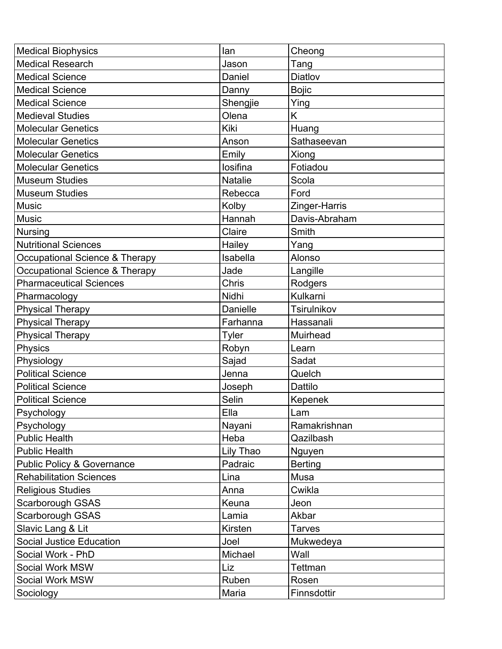| <b>Medical Biophysics</b>             | lan          | Cheong         |
|---------------------------------------|--------------|----------------|
| <b>Medical Research</b>               | Jason        | Tang           |
| <b>Medical Science</b>                | Daniel       | Diatlov        |
| <b>Medical Science</b>                | Danny        | <b>Bojic</b>   |
| <b>Medical Science</b>                | Shengjie     | Ying           |
| <b>Medieval Studies</b>               | Olena        | Κ              |
| <b>Molecular Genetics</b>             | Kiki         | Huang          |
| <b>Molecular Genetics</b>             | Anson        | Sathaseevan    |
| <b>Molecular Genetics</b>             | Emily        | Xiong          |
| <b>Molecular Genetics</b>             | losifina     | Fotiadou       |
| <b>Museum Studies</b>                 | Natalie      | Scola          |
| <b>Museum Studies</b>                 | Rebecca      | Ford           |
| <b>Music</b>                          | Kolby        | Zinger-Harris  |
| <b>Music</b>                          | Hannah       | Davis-Abraham  |
| <b>Nursing</b>                        | Claire       | Smith          |
| <b>Nutritional Sciences</b>           | Hailey       | Yang           |
| Occupational Science & Therapy        | Isabella     | Alonso         |
| Occupational Science & Therapy        | Jade         | Langille       |
| <b>Pharmaceutical Sciences</b>        | <b>Chris</b> | Rodgers        |
| Pharmacology                          | Nidhi        | Kulkarni       |
| <b>Physical Therapy</b>               | Danielle     | Tsirulnikov    |
| <b>Physical Therapy</b>               | Farhanna     | Hassanali      |
| <b>Physical Therapy</b>               | Tyler        | Muirhead       |
| Physics                               | Robyn        | Learn          |
| Physiology                            | Sajad        | Sadat          |
| <b>Political Science</b>              | Jenna        | Quelch         |
| <b>Political Science</b>              | Joseph       | Dattilo        |
| <b>Political Science</b>              | Selin        | Kepenek        |
| Psychology                            | Ella         | Lam            |
| Psychology                            | Nayani       | Ramakrishnan   |
| <b>Public Health</b>                  | Heba         | Qazilbash      |
| <b>Public Health</b>                  | Lily Thao    | Nguyen         |
| <b>Public Policy &amp; Governance</b> | Padraic      | <b>Berting</b> |
| <b>Rehabilitation Sciences</b>        | Lina         | Musa           |
| <b>Religious Studies</b>              | Anna         | Cwikla         |
| Scarborough GSAS                      | Keuna        | Jeon           |
| Scarborough GSAS                      | Lamia        | Akbar          |
| Slavic Lang & Lit                     | Kirsten      | <b>Tarves</b>  |
| Social Justice Education              | Joel         | Mukwedeya      |
| Social Work - PhD                     | Michael      | Wall           |
| Social Work MSW                       | Liz          | Tettman        |
| Social Work MSW                       | Ruben        | Rosen          |
| Sociology                             | Maria        | Finnsdottir    |